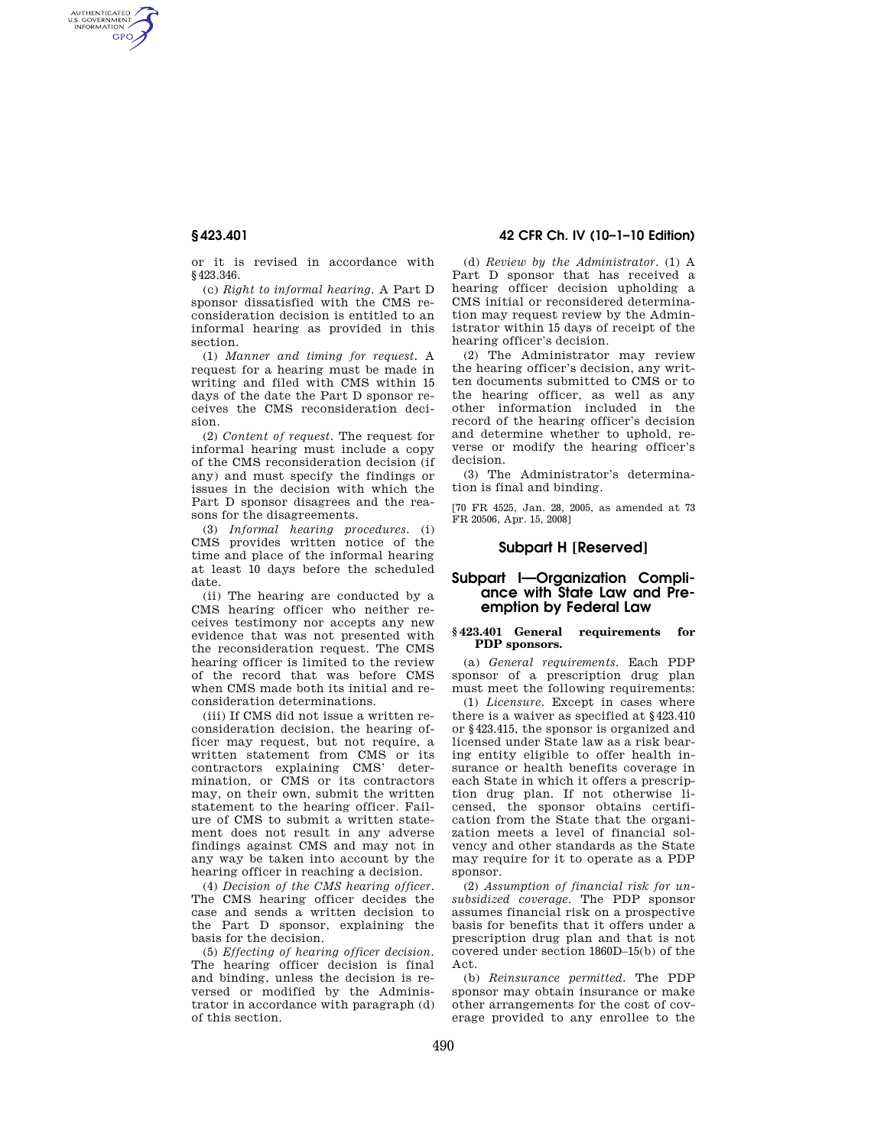AUTHENTICATED<br>U.S. GOVERNMENT<br>INFORMATION **GPO** 

**§ 423.401 42 CFR Ch. IV (10–1–10 Edition)** 

or it is revised in accordance with §423.346.

(c) *Right to informal hearing.* A Part D sponsor dissatisfied with the CMS reconsideration decision is entitled to an informal hearing as provided in this section.

(1) *Manner and timing for request.* A request for a hearing must be made in writing and filed with CMS within 15 days of the date the Part D sponsor receives the CMS reconsideration decision.

(2) *Content of request.* The request for informal hearing must include a copy of the CMS reconsideration decision (if any) and must specify the findings or issues in the decision with which the Part D sponsor disagrees and the reasons for the disagreements.

(3) *Informal hearing procedures.* (i) CMS provides written notice of the time and place of the informal hearing at least 10 days before the scheduled date.

(ii) The hearing are conducted by a CMS hearing officer who neither receives testimony nor accepts any new evidence that was not presented with the reconsideration request. The CMS hearing officer is limited to the review of the record that was before CMS when CMS made both its initial and reconsideration determinations.

(iii) If CMS did not issue a written reconsideration decision, the hearing officer may request, but not require, a written statement from CMS or its contractors explaining CMS' determination, or CMS or its contractors may, on their own, submit the written statement to the hearing officer. Failure of CMS to submit a written statement does not result in any adverse findings against CMS and may not in any way be taken into account by the hearing officer in reaching a decision.

(4) *Decision of the CMS hearing officer.*  The CMS hearing officer decides the case and sends a written decision to the Part D sponsor, explaining the basis for the decision.

(5) *Effecting of hearing officer decision.*  The hearing officer decision is final and binding, unless the decision is reversed or modified by the Administrator in accordance with paragraph (d) of this section.

(d) *Review by the Administrator.* (1) A Part D sponsor that has received a hearing officer decision upholding a CMS initial or reconsidered determination may request review by the Administrator within 15 days of receipt of the hearing officer's decision.

(2) The Administrator may review the hearing officer's decision, any written documents submitted to CMS or to the hearing officer, as well as any other information included in the record of the hearing officer's decision and determine whether to uphold, reverse or modify the hearing officer's decision.

(3) The Administrator's determination is final and binding.

[70 FR 4525, Jan. 28, 2005, as amended at 73 FR 20506, Apr. 15, 2008]

## **Subpart H [Reserved]**

# **Subpart I—Organization Compliance with State Law and Preemption by Federal Law**

## **§ 423.401 General requirements for PDP sponsors.**

(a) *General requirements.* Each PDP sponsor of a prescription drug plan must meet the following requirements:

(1) *Licensure.* Except in cases where there is a waiver as specified at §423.410 or §423.415, the sponsor is organized and licensed under State law as a risk bearing entity eligible to offer health insurance or health benefits coverage in each State in which it offers a prescription drug plan. If not otherwise licensed, the sponsor obtains certification from the State that the organization meets a level of financial solvency and other standards as the State may require for it to operate as a PDP sponsor.

(2) *Assumption of financial risk for unsubsidized coverage.* The PDP sponsor assumes financial risk on a prospective basis for benefits that it offers under a prescription drug plan and that is not covered under section 1860D–15(b) of the Act.

(b) *Reinsurance permitted.* The PDP sponsor may obtain insurance or make other arrangements for the cost of coverage provided to any enrollee to the